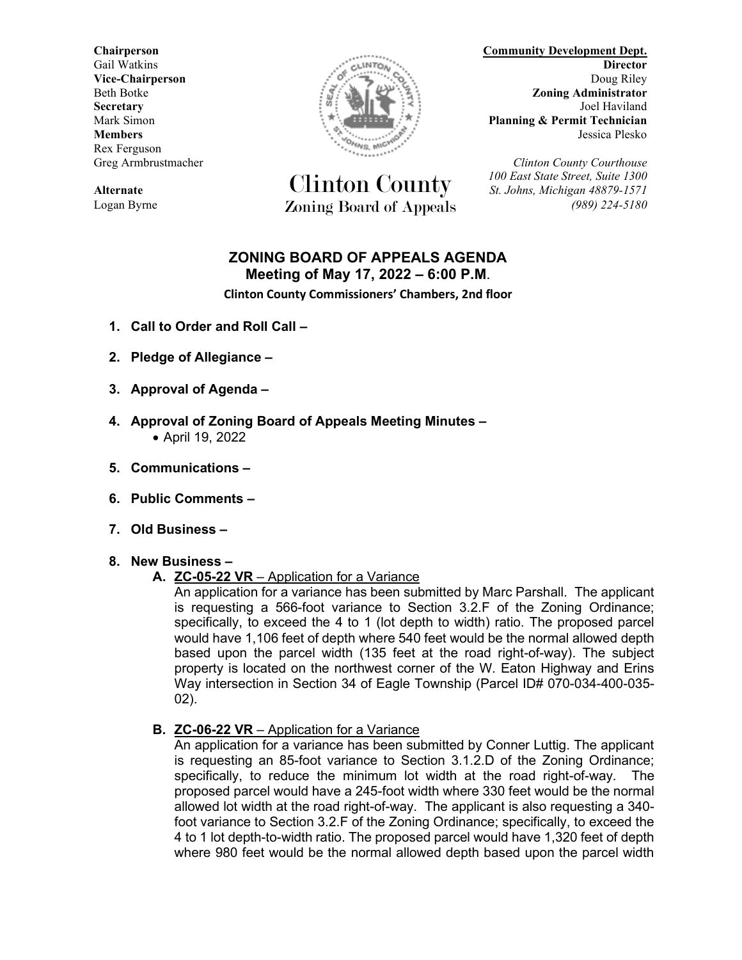Rex Ferguson



**Alternate** *St. Johns, Michigan 48879-1571* Logan Byrne Zoning Board of Appeals *(989) 224-5180*

**Chairperson Community Development Dept.** Gail Watkins **Director Director Vice-Chairperson** Doug Riley Beth Botke **Zoning Administrator Secretary** Joel Haviland **Electric Secretary** Joel Haviland Mark Simon **Planning & Permit Technician Members** Jessica Plesko

Greg Armbrustmacher *Clinton County Courthouse* Clinton County *100 East State Street, Suite 1300*

# **ZONING BOARD OF APPEALS AGENDA Meeting of May 17, 2022 – 6:00 P.M**.

**Clinton County Commissioners' Chambers, 2nd floor**

- **1. Call to Order and Roll Call –**
- **2. Pledge of Allegiance –**
- **3. Approval of Agenda –**
- **4. Approval of Zoning Board of Appeals Meeting Minutes –** • April 19, 2022
- **5. Communications –**
- **6. Public Comments –**
- **7. Old Business –**

#### **8. New Business –**

#### **A. ZC-05-22 VR** – Application for a Variance

An application for a variance has been submitted by Marc Parshall. The applicant is requesting a 566-foot variance to Section 3.2.F of the Zoning Ordinance; specifically, to exceed the 4 to 1 (lot depth to width) ratio. The proposed parcel would have 1,106 feet of depth where 540 feet would be the normal allowed depth based upon the parcel width (135 feet at the road right-of-way). The subject property is located on the northwest corner of the W. Eaton Highway and Erins Way intersection in Section 34 of Eagle Township (Parcel ID# 070-034-400-035- 02).

**B. ZC-06-22 VR** – Application for a Variance

An application for a variance has been submitted by Conner Luttig. The applicant is requesting an 85-foot variance to Section 3.1.2.D of the Zoning Ordinance; specifically, to reduce the minimum lot width at the road right-of-way. The proposed parcel would have a 245-foot width where 330 feet would be the normal allowed lot width at the road right-of-way. The applicant is also requesting a 340 foot variance to Section 3.2.F of the Zoning Ordinance; specifically, to exceed the 4 to 1 lot depth-to-width ratio. The proposed parcel would have 1,320 feet of depth where 980 feet would be the normal allowed depth based upon the parcel width